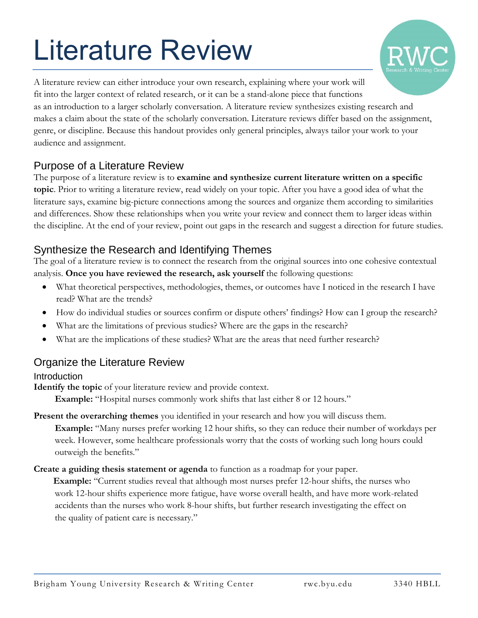# Literature Review



A literature review can either introduce your own research, explaining where your work will fit into the larger context of related research, or it can be a stand-alone piece that functions as an introduction to a larger scholarly conversation. A literature review synthesizes existing research and makes a claim about the state of the scholarly conversation. Literature reviews differ based on the assignment, genre, or discipline. Because this handout provides only general principles, always tailor your work to your audience and assignment.

## Purpose of a Literature Review

The purpose of a literature review is to **examine and synthesize current literature written on a specific topic**. Prior to writing a literature review, read widely on your topic. After you have a good idea of what the literature says, examine big-picture connections among the sources and organize them according to similarities and differences. Show these relationships when you write your review and connect them to larger ideas within the discipline. At the end of your review, point out gaps in the research and suggest a direction for future studies.

# Synthesize the Research and Identifying Themes

The goal of a literature review is to connect the research from the original sources into one cohesive contextual analysis. **Once you have reviewed the research, ask yourself** the following questions:

- What theoretical perspectives, methodologies, themes, or outcomes have I noticed in the research I have read? What are the trends?
- How do individual studies or sources confirm or dispute others' findings? How can I group the research?
- What are the limitations of previous studies? Where are the gaps in the research?
- What are the implications of these studies? What are the areas that need further research?

### Organize the Literature Review

#### Introduction

**Identify the topic** of your literature review and provide context.

**Example:** "Hospital nurses commonly work shifts that last either 8 or 12 hours."

- **Present the overarching themes** you identified in your research and how you will discuss them. **Example:** "Many nurses prefer working 12 hour shifts, so they can reduce their number of workdays per week. However, some healthcare professionals worry that the costs of working such long hours could outweigh the benefits."
- **Create a guiding thesis statement or agenda** to function as a roadmap for your paper.

**Example:** "Current studies reveal that although most nurses prefer 12-hour shifts, the nurses who work 12-hour shifts experience more fatigue, have worse overall health, and have more work-related accidents than the nurses who work 8-hour shifts, but further research investigating the effect on the quality of patient care is necessary."